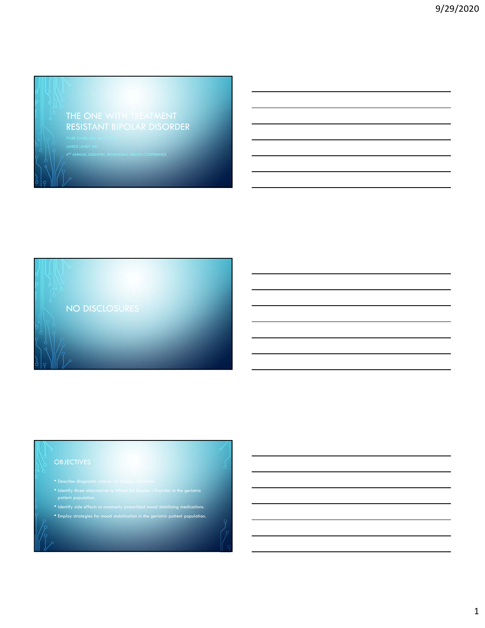### THE ONE WITH TREATMENT RESISTANT BIPOLAR DISORDER



## patient population. • Identify side effects to commonly prescribed mood stabilizing medications. • Employ strategies for mood stabilization in the geriatric patient population.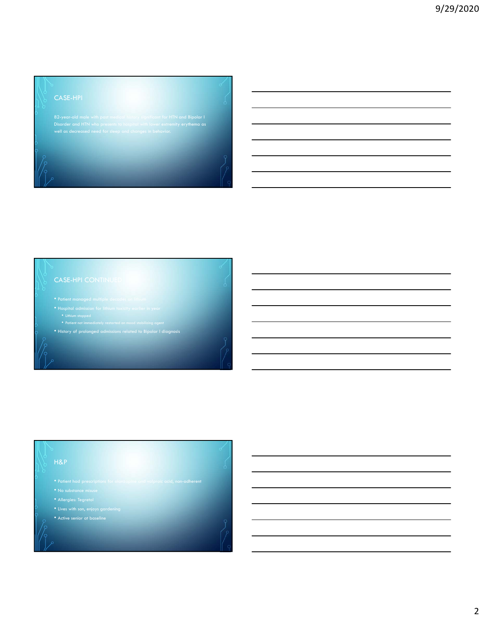82-year-old male with past medical history significant for HTN and Bipolar I Disorder and HTN who presents to hospital with lower extremity erythema as well as decreased need for sleep and changes in behavior.

- 
- -
- 
- History of prolonged admissions related to Bipolar I diagnosis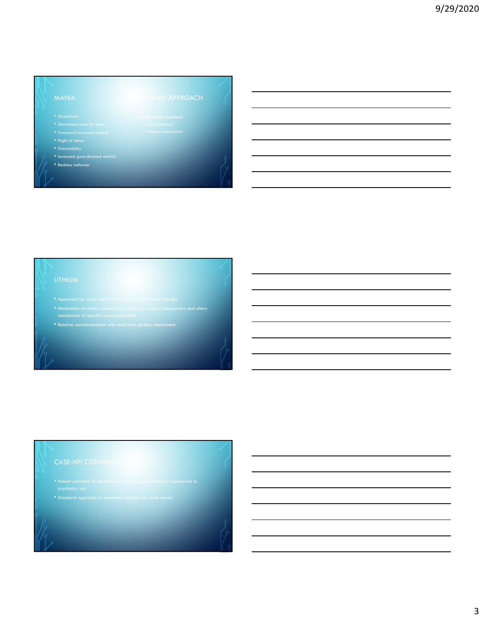- 
- 
- 
- 
- Increased goal-directed activity
- Reckless behavior

- 
- 



# psychiatry unit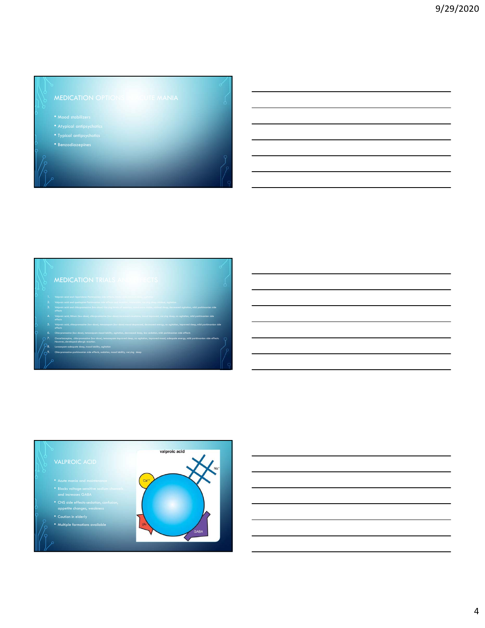- 
- 
- 
- 



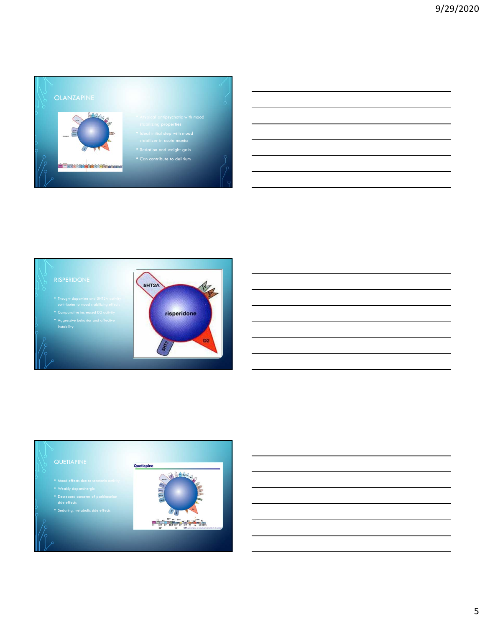





- 
- 
- 
- 
- Sedating, metabolic side effects

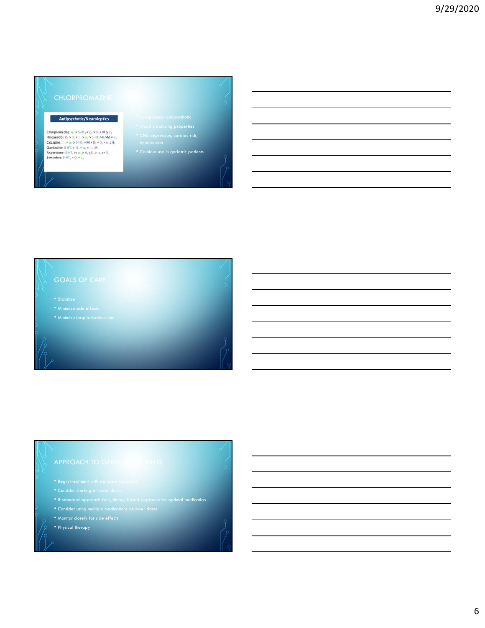### Antipsychotic/Neuroleptics

 $\begin{array}{l} \mbox{\bf Churpromazine:}\; \alpha_1 = 5\cdot\mathrm{H}\mathbb{T}_2 = \mathsf{D}_2 \triangleright \mathsf{D}_1 \triangleright \mathsf{M} \geq \alpha_2 \\ \mbox{\bf Haloperiddol:}\; \mathsf{D}_2 \triangleright \mathsf{D}_1 \triangleq \mathsf{D}_2 \triangleright \alpha_2 \triangleright \mathsf{S}\cdot\mathrm{H}\mathbb{T}_2 \triangleright \mathsf{H}_1 \triangleright \mathsf{M} \preceq \alpha_2 \\ \mbox{\bf Clozapine:}\; \mathsf{D}_1 = \alpha_1 \triangleright \mathsf{S}\cdot\mathrm{H}\mathbb{T$ 

- 
- Cautious use in geriatric patients

# GOALS OF CARE

- 
- 
- If standard approach fails, theory-based approach for optimal medication
- 
- Monitor closely for side effects
- Physical therapy